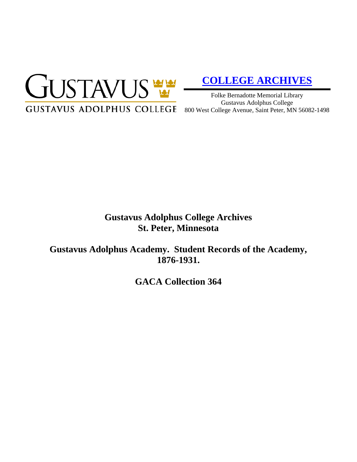

# **[COLLEGE ARCHIVES](http://gustavus.edu/academics/library/archives/)**

Folke Bernadotte Memorial Library Gustavus Adolphus College

## **Gustavus Adolphus College Archives St. Peter, Minnesota**

**Gustavus Adolphus Academy. Student Records of the Academy, 1876-1931.**

**GACA Collection 364**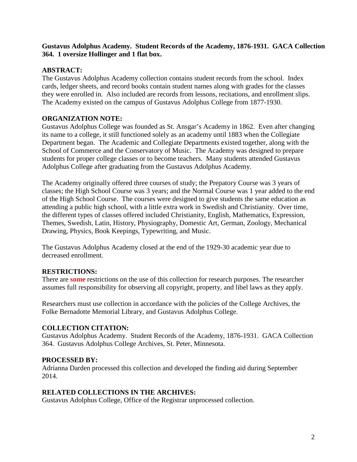#### **Gustavus Adolphus Academy. Student Records of the Academy, 1876-1931. GACA Collection 364. 1 oversize Hollinger and 1 flat box.**

#### **ABSTRACT:**

The Gustavus Adolphus Academy collection contains student records from the school. Index cards, ledger sheets, and record books contain student names along with grades for the classes they were enrolled in. Also included are records from lessons, recitations, and enrollment slips. The Academy existed on the campus of Gustavus Adolphus College from 1877-1930.

#### **ORGANIZATION NOTE:**

Gustavus Adolphus College was founded as St. Ansgar's Academy in 1862. Even after changing its name to a college, it still functioned solely as an academy until 1883 when the Collegiate Department began. The Academic and Collegiate Departments existed together, along with the School of Commerce and the Conservatory of Music. The Academy was designed to prepare students for proper college classes or to become teachers. Many students attended Gustavus Adolphus College after graduating from the Gustavus Adolphus Academy.

The Academy originally offered three courses of study; the Prepatory Course was 3 years of classes; the High School Course was 3 years; and the Normal Course was 1 year added to the end of the High School Course. The courses were designed to give students the same education as attending a public high school, with a little extra work in Swedish and Christianity. Over time, the different types of classes offered included Christianity, English, Mathematics, Expression, Themes, Swedish, Latin, History, Physiography, Domestic Art, German, Zoology, Mechanical Drawing, Physics, Book Keepings, Typewriting, and Music.

The Gustavus Adolphus Academy closed at the end of the 1929-30 academic year due to decreased enrollment.

#### **RESTRICTIONS:**

There are **some** restrictions on the use of this collection for research purposes. The researcher assumes full responsibility for observing all copyright, property, and libel laws as they apply.

Researchers must use collection in accordance with the policies of the College Archives, the Folke Bernadotte Memorial Library, and Gustavus Adolphus College.

#### **COLLECTION CITATION:**

Gustavus Adolphus Academy. Student Records of the Academy, 1876-1931. GACA Collection 364. Gustavus Adolphus College Archives, St. Peter, Minnesota.

#### **PROCESSED BY:**

Adrianna Darden processed this collection and developed the finding aid during September 2014.

#### **RELATED COLLECTIONS IN THE ARCHIVES:**

Gustavus Adolphus College, Office of the Registrar unprocessed collection.